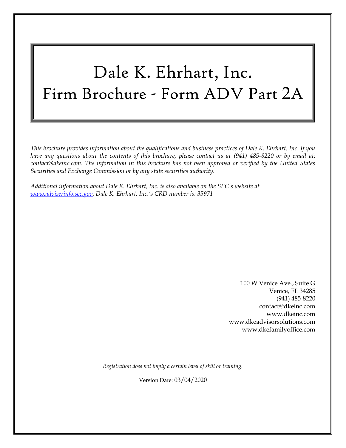# Dale K. Ehrhart, Inc. Firm Brochure - Form ADV Part 2A

*This brochure provides information about the qualifications and business practices of Dale K. Ehrhart, Inc. If you have any questions about the contents of this brochure, please contact us at (941) 485-8220 or by email at: contact@dkeinc.com. The information in this brochure has not been approved or verified by the United States Securities and Exchange Commission or by any state securities authority.*

*Additional information about Dale K. Ehrhart, Inc. is also available on the SEC's website at [www.adviserinfo.sec.gov.](http://www.adviserinfo.sec.gov/) Dale K. Ehrhart, Inc.'s CRD number is: 35971*

> 100 W Venice Ave., Suite G Venice, FL 34285 (941) 485-8220 contact@dkeinc.com [www.dkeinc.com](https://www.dkeinc.com/) [www.dkeadvisorsolutions.com](https://www.dkeadvisorsolutions.com/) [www.dkefamilyoffice.com](https://www.dkefamilyoffice.com/)

*Registration does not imply a certain level of skill or training.*

Version Date: 03/04/2020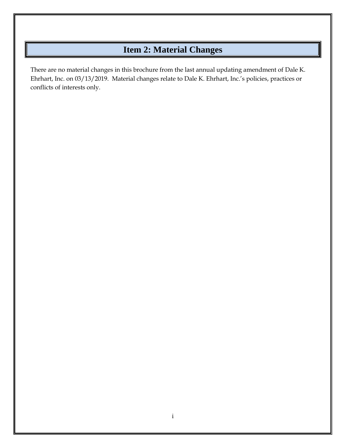# **Item 2: Material Changes**

<span id="page-1-0"></span>There are no material changes in this brochure from the last annual updating amendment of Dale K. Ehrhart, Inc. on 03/13/2019. Material changes relate to Dale K. Ehrhart, Inc.'s policies, practices or conflicts of interests only.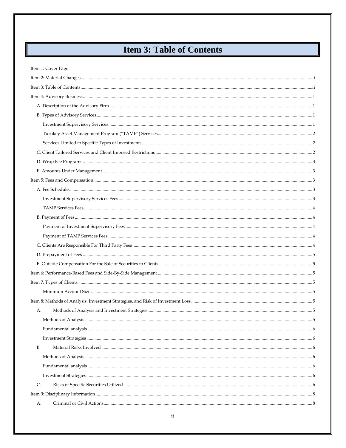# **Item 3: Table of Contents**

<span id="page-2-0"></span>║

| Item 1: Cover Page |  |
|--------------------|--|
|                    |  |
|                    |  |
|                    |  |
|                    |  |
|                    |  |
|                    |  |
|                    |  |
|                    |  |
|                    |  |
|                    |  |
|                    |  |
|                    |  |
|                    |  |
|                    |  |
|                    |  |
|                    |  |
|                    |  |
|                    |  |
|                    |  |
|                    |  |
|                    |  |
|                    |  |
|                    |  |
|                    |  |
|                    |  |
| А.                 |  |
|                    |  |
|                    |  |
|                    |  |
| <b>B.</b>          |  |
|                    |  |
|                    |  |
|                    |  |
| C.                 |  |
|                    |  |
| А.                 |  |
|                    |  |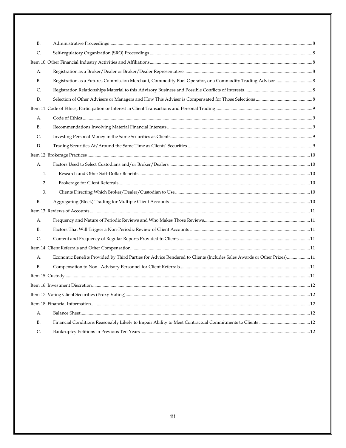| В.             |                                                                                                                      |  |  |  |  |
|----------------|----------------------------------------------------------------------------------------------------------------------|--|--|--|--|
| C.             |                                                                                                                      |  |  |  |  |
|                |                                                                                                                      |  |  |  |  |
| А.             |                                                                                                                      |  |  |  |  |
| <b>B.</b>      |                                                                                                                      |  |  |  |  |
| C.             |                                                                                                                      |  |  |  |  |
| D.             |                                                                                                                      |  |  |  |  |
|                |                                                                                                                      |  |  |  |  |
| А.             |                                                                                                                      |  |  |  |  |
| В.             |                                                                                                                      |  |  |  |  |
| C.             |                                                                                                                      |  |  |  |  |
| D.             |                                                                                                                      |  |  |  |  |
|                |                                                                                                                      |  |  |  |  |
| А.             |                                                                                                                      |  |  |  |  |
| 1.             |                                                                                                                      |  |  |  |  |
| 2.             |                                                                                                                      |  |  |  |  |
| 3.             |                                                                                                                      |  |  |  |  |
| <b>B.</b>      |                                                                                                                      |  |  |  |  |
|                |                                                                                                                      |  |  |  |  |
| А.             |                                                                                                                      |  |  |  |  |
| В.             |                                                                                                                      |  |  |  |  |
| $\mathsf{C}$ . |                                                                                                                      |  |  |  |  |
|                |                                                                                                                      |  |  |  |  |
| А.             | Economic Benefits Provided by Third Parties for Advice Rendered to Clients (Includes Sales Awards or Other Prizes)11 |  |  |  |  |
| <b>B.</b>      |                                                                                                                      |  |  |  |  |
|                |                                                                                                                      |  |  |  |  |
|                |                                                                                                                      |  |  |  |  |
|                |                                                                                                                      |  |  |  |  |
|                |                                                                                                                      |  |  |  |  |
| A.             |                                                                                                                      |  |  |  |  |
| <b>B.</b>      |                                                                                                                      |  |  |  |  |
| C.             |                                                                                                                      |  |  |  |  |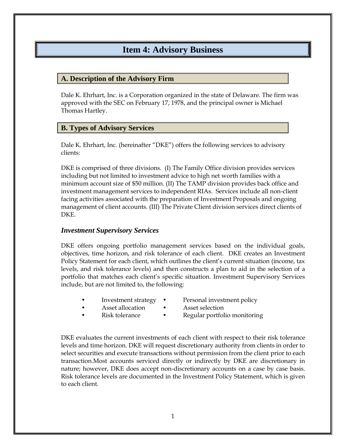### **Item 4: Advisory Business**

#### <span id="page-4-1"></span><span id="page-4-0"></span>**A. Description of the Advisory Firm**

Dale K. Ehrhart, Inc. is a Corporation organized in the state of Delaware. The firm was approved with the SEC on February 17, 1978, and the principal owner is Michael Thomas Hartley.

### <span id="page-4-2"></span>**B. Types of Advisory Services**

Dale K. Ehrhart, Inc. (hereinafter "DKE") offers the following services to advisory clients:

DKE is comprised of three divisions. (I) The Family Office division provides services including but not limited to investment advice to high net worth families with a minimum account size of \$50 million. (II) The TAMP division provides back office and investment management services to independent RIAs. Services include all non-client facing activities associated with the preparation of Investment Proposals and ongoing management of client accounts. (III) The Private Client division services direct clients of DKE.

#### <span id="page-4-3"></span>*Investment Supervisory Services*

DKE offers ongoing portfolio management services based on the individual goals, objectives, time horizon, and risk tolerance of each client. DKE creates an Investment Policy Statement for each client, which outlines the client's current situation (income, tax levels, and risk tolerance levels) and then constructs a plan to aid in the selection of a portfolio that matches each client's specific situation. Investment Supervisory Services include, but are not limited to, the following:

- Investment strategy Personal investment policy
- 
- Asset allocation Asset selection
- Risk tolerance Regular portfolio monitoring

DKE evaluates the current investments of each client with respect to their risk tolerance levels and time horizon. DKE will request discretionary authority from clients in order to select securities and execute transactions without permission from the client prior to each transaction.Most accounts serviced directly or indirectly by DKE are discretionary in nature; however, DKE does accept non-discretionary accounts on a case by case basis. Risk tolerance levels are documented in the Investment Policy Statement, which is given to each client.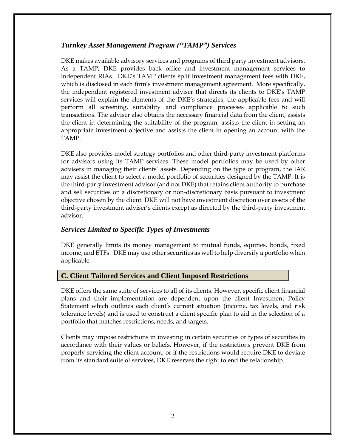### <span id="page-5-0"></span>*Turnkey Asset Management Program ("TAMP") Services*

DKE makes available advisory services and programs of third party investment advisors. As a TAMP, DKE provides back office and investment management services to independent RIAs. DKE's TAMP clients split investment management fees with DKE, which is disclosed in each firm's investment management agreement. More specifically, the independent registered investment adviser that directs its clients to DKE's TAMP services will explain the elements of the DKE's strategies, the applicable fees and will perform all screening, suitability and compliance processes applicable to such transactions. The adviser also obtains the necessary financial data from the client, assists the client in determining the suitability of the program, assists the client in setting an appropriate investment objective and assists the client in opening an account with the TAMP.

DKE also provides model strategy portfolios and other third-party investment platforms for advisors using its TAMP services. These model portfolios may be used by other advisers in managing their clients' assets. Depending on the type of program, the IAR may assist the client to select a model portfolio of securities designed by the TAMP. It is the third-party investment advisor (and not DKE) that retains client authority to purchase and sell securities on a discretionary or non-discretionary basis pursuant to investment objective chosen by the client. DKE will not have investment discretion over assets of the third-party investment adviser's clients except as directed by the third-party investment advisor.

### <span id="page-5-1"></span>*Services Limited to Specific Types of Investments*

DKE generally limits its money management to mutual funds, equities, bonds, fixed income, and ETFs. DKE may use other securities as well to help diversify a portfolio when applicable.

### <span id="page-5-2"></span>**C. Client Tailored Services and Client Imposed Restrictions**

DKE offers the same suite of services to all of its clients. However, specific client financial plans and their implementation are dependent upon the client Investment Policy Statement which outlines each client's current situation (income, tax levels, and risk tolerance levels) and is used to construct a client specific plan to aid in the selection of a portfolio that matches restrictions, needs, and targets.

Clients may impose restrictions in investing in certain securities or types of securities in accordance with their values or beliefs. However, if the restrictions prevent DKE from properly servicing the client account, or if the restrictions would require DKE to deviate from its standard suite of services, DKE reserves the right to end the relationship.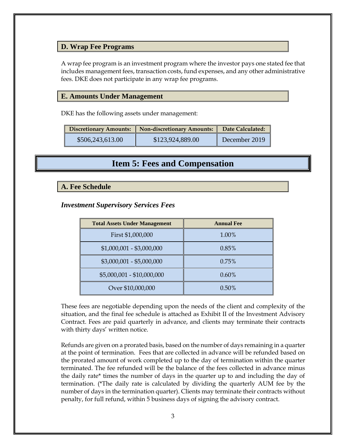### <span id="page-6-0"></span>**D. Wrap Fee Programs**

A wrap fee program is an investment program where the investor pays one stated fee that includes management fees, transaction costs, fund expenses, and any other administrative fees. DKE does not participate in any wrap fee programs.

#### <span id="page-6-1"></span>**E. Amounts Under Management**

DKE has the following assets under management:

| Discretionary Amounts: Non-discretionary Amounts: |                  | Date Calculated: |
|---------------------------------------------------|------------------|------------------|
| \$506,243,613.00                                  | \$123,924,889.00 | December 2019    |

### **Item 5: Fees and Compensation**

#### <span id="page-6-3"></span><span id="page-6-2"></span>**A. Fee Schedule**

### <span id="page-6-4"></span>*Investment Supervisory Services Fees*

| <b>Total Assets Under Management</b> | <b>Annual Fee</b> |
|--------------------------------------|-------------------|
| First \$1,000,000                    | 1.00%             |
| $$1,000,001 - $3,000,000$            | 0.85%             |
| $$3,000,001 - $5,000,000$            | 0.75%             |
| \$5,000,001 - \$10,000,000           | $0.60\%$          |
| Over \$10,000,000                    | $0.50\%$          |

These fees are negotiable depending upon the needs of the client and complexity of the situation, and the final fee schedule is attached as Exhibit II of the Investment Advisory Contract. Fees are paid quarterly in advance, and clients may terminate their contracts with thirty days' written notice.

Refunds are given on a prorated basis, based on the number of days remaining in a quarter at the point of termination. Fees that are collected in advance will be refunded based on the prorated amount of work completed up to the day of termination within the quarter terminated. The fee refunded will be the balance of the fees collected in advance minus the daily rate\* times the number of days in the quarter up to and including the day of termination. (\*The daily rate is calculated by dividing the quarterly AUM fee by the number of days in the termination quarter). Clients may terminate their contracts without penalty, for full refund, within 5 business days of signing the advisory contract.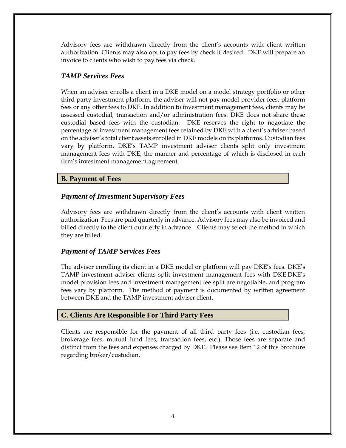Advisory fees are withdrawn directly from the client's accounts with client written authorization. Clients may also opt to pay fees by check if desired. DKE will prepare an invoice to clients who wish to pay fees via check.

### <span id="page-7-0"></span>*TAMP Services Fees*

When an adviser enrolls a client in a DKE model on a model strategy portfolio or other third party investment platform, the adviser will not pay model provider fees, platform fees or any other fees to DKE. In addition to investment management fees, clients may be assessed custodial, transaction and/or administration fees. DKE does not share these custodial based fees with the custodian. DKE reserves the right to negotiate the percentage of investment management fees retained by DKE with a client's adviser based on the adviser's total client assets enrolled in DKE models on its platforms. Custodian fees vary by platform. DKE's TAMP investment adviser clients split only investment management fees with DKE, the manner and percentage of which is disclosed in each firm's investment management agreement.

### <span id="page-7-1"></span>**B. Payment of Fees**

### <span id="page-7-2"></span>*Payment of Investment Supervisory Fees*

Advisory fees are withdrawn directly from the client's accounts with client written authorization. Fees are paid quarterly in advance. Advisory fees may also be invoiced and billed directly to the client quarterly in advance. Clients may select the method in which they are billed.

### <span id="page-7-3"></span>*Payment of TAMP Services Fees*

The adviser enrolling its client in a DKE model or platform will pay DKE's fees. DKE's TAMP investment adviser clients split investment management fees with DKE.DKE's model provision fees and investment management fee split are negotiable, and program fees vary by platform. The method of payment is documented by written agreement between DKE and the TAMP investment adviser client.

### <span id="page-7-4"></span>**C. Clients Are Responsible For Third Party Fees**

Clients are responsible for the payment of all third party fees (i.e. custodian fees, brokerage fees, mutual fund fees, transaction fees, etc.). Those fees are separate and distinct from the fees and expenses charged by DKE. Please see Item 12 of this brochure regarding broker/custodian.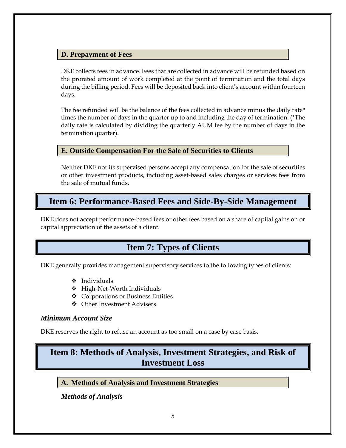### <span id="page-8-0"></span>**D. Prepayment of Fees**

DKE collects fees in advance. Fees that are collected in advance will be refunded based on the prorated amount of work completed at the point of termination and the total days during the billing period. Fees will be deposited back into client's account within fourteen days.

The fee refunded will be the balance of the fees collected in advance minus the daily rate\* times the number of days in the quarter up to and including the day of termination. (\*The daily rate is calculated by dividing the quarterly AUM fee by the number of days in the termination quarter).

### <span id="page-8-1"></span>**E. Outside Compensation For the Sale of Securities to Clients**

Neither DKE nor its supervised persons accept any compensation for the sale of securities or other investment products, including asset-based sales charges or services fees from the sale of mutual funds.

### <span id="page-8-2"></span>**Item 6: Performance-Based Fees and Side-By-Side Management**

<span id="page-8-3"></span>DKE does not accept performance-based fees or other fees based on a share of capital gains on or capital appreciation of the assets of a client.

# **Item 7: Types of Clients**

DKE generally provides management supervisory services to the following types of clients:

- ❖ Individuals
- ❖ High-Net-Worth Individuals
- ❖ Corporations or Business Entities
- ❖ Other Investment Advisers

### <span id="page-8-4"></span>*Minimum Account Size*

DKE reserves the right to refuse an account as too small on a case by case basis.

# <span id="page-8-5"></span>**Item 8: Methods of Analysis, Investment Strategies, and Risk of Investment Loss**

<span id="page-8-6"></span>**A. Methods of Analysis and Investment Strategies**

<span id="page-8-7"></span>*Methods of Analysis*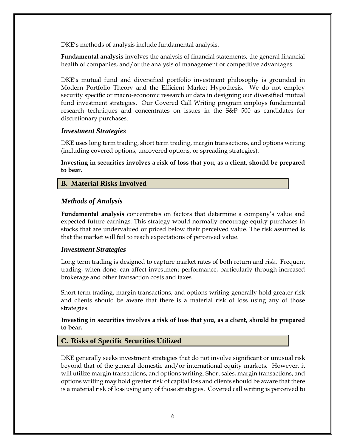DKE's methods of analysis include fundamental analysis.

<span id="page-9-0"></span>**Fundamental analysis** involves the analysis of financial statements, the general financial health of companies, and/or the analysis of management or competitive advantages.

DKE's mutual fund and diversified portfolio investment philosophy is grounded in Modern Portfolio Theory and the Efficient Market Hypothesis. We do not employ security specific or macro-economic research or data in designing our diversified mutual fund investment strategies. Our Covered Call Writing program employs fundamental research techniques and concentrates on issues in the S&P 500 as candidates for discretionary purchases.

#### <span id="page-9-1"></span>*Investment Strategies*

DKE uses long term trading, short term trading, margin transactions, and options writing (including covered options, uncovered options, or spreading strategies).

**Investing in securities involves a risk of loss that you, as a client, should be prepared to bear.**

### <span id="page-9-2"></span>**B. Material Risks Involved**

### <span id="page-9-3"></span>*Methods of Analysis*

<span id="page-9-4"></span>**Fundamental analysis** concentrates on factors that determine a company's value and expected future earnings. This strategy would normally encourage equity purchases in stocks that are undervalued or priced below their perceived value. The risk assumed is that the market will fail to reach expectations of perceived value.

### <span id="page-9-5"></span>*Investment Strategies*

Long term trading is designed to capture market rates of both return and risk. Frequent trading, when done, can affect investment performance, particularly through increased brokerage and other transaction costs and taxes.

Short term trading, margin transactions, and options writing generally hold greater risk and clients should be aware that there is a material risk of loss using any of those strategies.

**Investing in securities involves a risk of loss that you, as a client, should be prepared to bear.**

### <span id="page-9-6"></span>**C. Risks of Specific Securities Utilized**

DKE generally seeks investment strategies that do not involve significant or unusual risk beyond that of the general domestic and/or international equity markets. However, it will utilize margin transactions, and options writing. Short sales, margin transactions, and options writing may hold greater risk of capital loss and clients should be aware that there is a material risk of loss using any of those strategies. Covered call writing is perceived to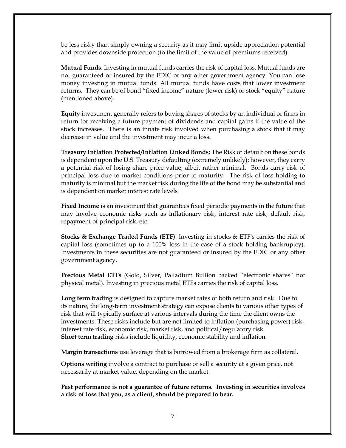be less risky than simply owning a security as it may limit upside appreciation potential and provides downside protection (to the limit of the value of premiums received).

**Mutual Funds**: Investing in mutual funds carries the risk of capital loss. Mutual funds are not guaranteed or insured by the FDIC or any other government agency. You can lose money investing in mutual funds. All mutual funds have costs that lower investment returns. They can be of bond "fixed income" nature (lower risk) or stock "equity" nature (mentioned above).

**Equity** investment generally refers to buying shares of stocks by an individual or firms in return for receiving a future payment of dividends and capital gains if the value of the stock increases. There is an innate risk involved when purchasing a stock that it may decrease in value and the investment may incur a loss.

**Treasury Inflation Protected/Inflation Linked Bonds:** The Risk of default on these bonds is dependent upon the U.S. Treasury defaulting (extremely unlikely); however, they carry a potential risk of losing share price value, albeit rather minimal. Bonds carry risk of principal loss due to market conditions prior to maturity. The risk of loss holding to maturity is minimal but the market risk during the life of the bond may be substantial and is dependent on market interest rate levels

**Fixed Income** is an investment that guarantees fixed periodic payments in the future that may involve economic risks such as inflationary risk, interest rate risk, default risk, repayment of principal risk, etc.

**Stocks & Exchange Traded Funds (ETF)**: Investing in stocks & ETF's carries the risk of capital loss (sometimes up to a 100% loss in the case of a stock holding bankruptcy). Investments in these securities are not guaranteed or insured by the FDIC or any other government agency.

**Precious Metal ETFs** (Gold, Silver, Palladium Bullion backed "electronic shares" not physical metal). Investing in precious metal ETFs carries the risk of capital loss.

**Long term trading** is designed to capture market rates of both return and risk. Due to its nature, the long-term investment strategy can expose clients to various other types of risk that will typically surface at various intervals during the time the client owns the investments. These risks include but are not limited to inflation (purchasing power) risk, interest rate risk, economic risk, market risk, and political/regulatory risk. **Short term trading** risks include liquidity, economic stability and inflation.

**Margin transactions** use leverage that is borrowed from a brokerage firm as collateral.

**Options writing** involve a contract to purchase or sell a security at a given price, not necessarily at market value, depending on the market.

**Past performance is not a guarantee of future returns. Investing in securities involves a risk of loss that you, as a client, should be prepared to bear.**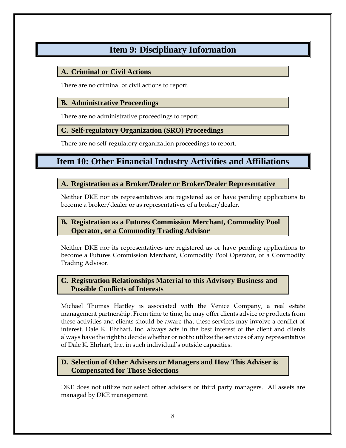# **Item 9: Disciplinary Information**

### <span id="page-11-1"></span><span id="page-11-0"></span>**A. Criminal or Civil Actions**

There are no criminal or civil actions to report.

### <span id="page-11-2"></span>**B. Administrative Proceedings**

There are no administrative proceedings to report.

### <span id="page-11-3"></span>**C. Self-regulatory Organization (SRO) Proceedings**

There are no self-regulatory organization proceedings to report.

# <span id="page-11-4"></span>**Item 10: Other Financial Industry Activities and Affiliations**

### <span id="page-11-5"></span>**A. Registration as a Broker/Dealer or Broker/Dealer Representative**

Neither DKE nor its representatives are registered as or have pending applications to become a broker/dealer or as representatives of a broker/dealer.

### <span id="page-11-6"></span>**B. Registration as a Futures Commission Merchant, Commodity Pool Operator, or a Commodity Trading Advisor**

Neither DKE nor its representatives are registered as or have pending applications to become a Futures Commission Merchant, Commodity Pool Operator, or a Commodity Trading Advisor.

### <span id="page-11-7"></span>**C. Registration Relationships Material to this Advisory Business and Possible Conflicts of Interests**

Michael Thomas Hartley is associated with the Venice Company, a real estate management partnership. From time to time, he may offer clients advice or products from these activities and clients should be aware that these services may involve a conflict of interest. Dale K. Ehrhart, Inc. always acts in the best interest of the client and clients always have the right to decide whether or not to utilize the services of any representative of Dale K. Ehrhart, Inc. in such individual's outside capacities.

### <span id="page-11-8"></span>**D. Selection of Other Advisers or Managers and How This Adviser is Compensated for Those Selections**

DKE does not utilize nor select other advisers or third party managers. All assets are managed by DKE management.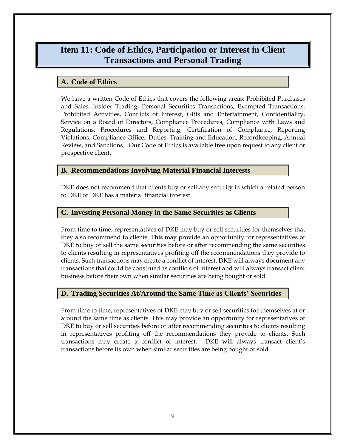# <span id="page-12-0"></span>**Item 11: Code of Ethics, Participation or Interest in Client Transactions and Personal Trading**

### <span id="page-12-1"></span>**A. Code of Ethics**

We have a written Code of Ethics that covers the following areas: Prohibited Purchases and Sales, Insider Trading, Personal Securities Transactions, Exempted Transactions, Prohibited Activities, Conflicts of Interest, Gifts and Entertainment, Confidentiality, Service on a Board of Directors, Compliance Procedures, Compliance with Laws and Regulations, Procedures and Reporting, Certification of Compliance, Reporting Violations, Compliance Officer Duties, Training and Education, Recordkeeping, Annual Review, and Sanctions. Our Code of Ethics is available free upon request to any client or prospective client.

#### <span id="page-12-2"></span>**B. Recommendations Involving Material Financial Interests**

DKE does not recommend that clients buy or sell any security in which a related person to DKE or DKE has a material financial interest.

#### <span id="page-12-3"></span>**C. Investing Personal Money in the Same Securities as Clients**

From time to time, representatives of DKE may buy or sell securities for themselves that they also recommend to clients. This may provide an opportunity for representatives of DKE to buy or sell the same securities before or after recommending the same securities to clients resulting in representatives profiting off the recommendations they provide to clients. Such transactions may create a conflict of interest. DKE will always document any transactions that could be construed as conflicts of interest and will always transact client business before their own when similar securities are being bought or sold.

### <span id="page-12-4"></span>**D. Trading Securities At/Around the Same Time as Clients' Securities**

From time to time, representatives of DKE may buy or sell securities for themselves at or around the same time as clients. This may provide an opportunity for representatives of DKE to buy or sell securities before or after recommending securities to clients resulting in representatives profiting off the recommendations they provide to clients. Such transactions may create a conflict of interest. DKE will always transact client's transactions before its own when similar securities are being bought or sold.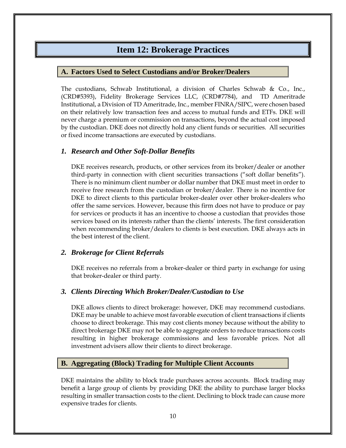### **Item 12: Brokerage Practices**

### <span id="page-13-1"></span><span id="page-13-0"></span>**A. Factors Used to Select Custodians and/or Broker/Dealers**

The custodians, Schwab Institutional, a division of Charles Schwab & Co., Inc., (CRD#5393), Fidelity Brokerage Services LLC, (CRD#7784), and TD Ameritrade Institutional, a Division of TD Ameritrade, Inc., member FINRA/SIPC, were chosen based on their relatively low transaction fees and access to mutual funds and ETFs. DKE will never charge a premium or commission on transactions, beyond the actual cost imposed by the custodian. DKE does not directly hold any client funds or securities. All securities or fixed income transactions are executed by custodians.

### <span id="page-13-2"></span>*1. Research and Other Soft-Dollar Benefits*

DKE receives research, products, or other services from its broker/dealer or another third-party in connection with client securities transactions ("soft dollar benefits"). There is no minimum client number or dollar number that DKE must meet in order to receive free research from the custodian or broker/dealer. There is no incentive for DKE to direct clients to this particular broker-dealer over other broker-dealers who offer the same services. However, because this firm does not have to produce or pay for services or products it has an incentive to choose a custodian that provides those services based on its interests rather than the clients' interests. The first consideration when recommending broker/dealers to clients is best execution. DKE always acts in the best interest of the client.

### <span id="page-13-3"></span>*2. Brokerage for Client Referrals*

DKE receives no referrals from a broker-dealer or third party in exchange for using that broker-dealer or third party.

### <span id="page-13-4"></span>*3. Clients Directing Which Broker/Dealer/Custodian to Use*

DKE allows clients to direct brokerage: however, DKE may recommend custodians. DKE may be unable to achieve most favorable execution of client transactions if clients choose to direct brokerage. This may cost clients money because without the ability to direct brokerage DKE may not be able to aggregate orders to reduce transactions costs resulting in higher brokerage commissions and less favorable prices. Not all investment advisers allow their clients to direct brokerage.

### <span id="page-13-5"></span>**B. Aggregating (Block) Trading for Multiple Client Accounts**

DKE maintains the ability to block trade purchases across accounts. Block trading may benefit a large group of clients by providing DKE the ability to purchase larger blocks resulting in smaller transaction costs to the client. Declining to block trade can cause more expensive trades for clients.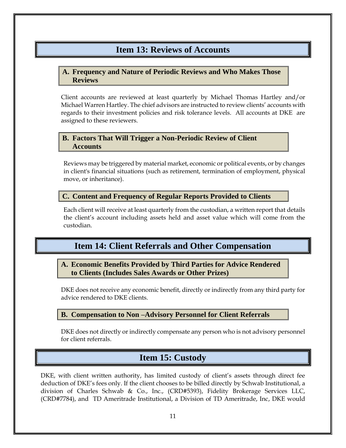### **Item 13: Reviews of Accounts**

### <span id="page-14-1"></span><span id="page-14-0"></span>**A. Frequency and Nature of Periodic Reviews and Who Makes Those Reviews**

Client accounts are reviewed at least quarterly by Michael Thomas Hartley and/or Michael Warren Hartley. The chief advisors are instructed to review clients' accounts with regards to their investment policies and risk tolerance levels. All accounts at DKE are assigned to these reviewers.

### <span id="page-14-2"></span>**B. Factors That Will Trigger a Non-Periodic Review of Client Accounts**

Reviews may be triggered by material market, economic or political events, or by changes in client's financial situations (such as retirement, termination of employment, physical move, or inheritance).

#### <span id="page-14-3"></span>**C. Content and Frequency of Regular Reports Provided to Clients**

Each client will receive at least quarterly from the custodian, a written report that details the client's account including assets held and asset value which will come from the custodian.

### **Item 14: Client Referrals and Other Compensation**

### <span id="page-14-5"></span><span id="page-14-4"></span>**A. Economic Benefits Provided by Third Parties for Advice Rendered to Clients (Includes Sales Awards or Other Prizes)**

DKE does not receive any economic benefit, directly or indirectly from any third party for advice rendered to DKE clients.

### <span id="page-14-6"></span>**B. Compensation to Non –Advisory Personnel for Client Referrals**

DKE does not directly or indirectly compensate any person who is not advisory personnel for client referrals.

### **Item 15: Custody**

<span id="page-14-7"></span>DKE, with client written authority, has limited custody of client's assets through direct fee deduction of DKE's fees only. If the client chooses to be billed directly by Schwab Institutional, a division of Charles Schwab & Co., Inc., (CRD#5393), Fidelity Brokerage Services LLC, (CRD#7784), and TD Ameritrade Institutional, a Division of TD Ameritrade, Inc, DKE would